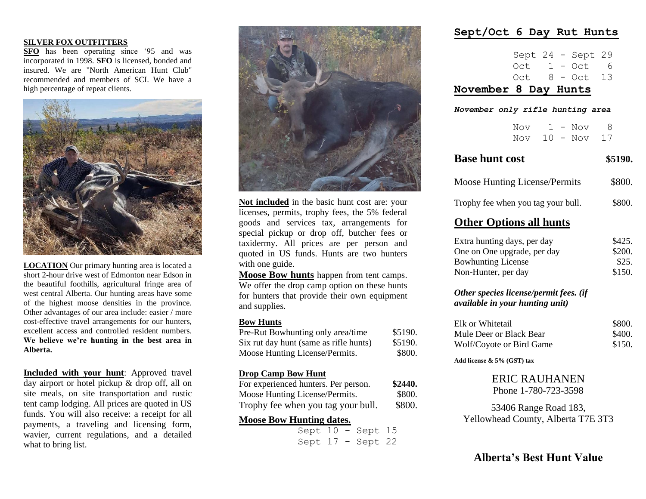#### **SILVER FOX OUTFITTERS**

**SFO** has been operating since '95 and was incorporated in 1998. **SFO** is licensed, bonded and insured. We are "North American Hunt Club" recommended and members of SCI. We have a high percentage of repeat clients.



**LOCATION** Our primary hunting area is located a short 2-hour drive west of Edmonton near Edson in the beautiful foothills, agricultural fringe area of west central Alberta. Our hunting areas have some of the highest moose densities in the province. Other advantages of our area include: easier / more cost-effective travel arrangements for our hunters, excellent access and controlled resident numbers. **We believe we're hunting in the best area in Alberta.**

**Included with your hunt**: Approved travel day airport or hotel pickup & drop off, all on site meals, on site transportation and rustic tent camp lodging. All prices are quoted in US funds. You will also receive: a receipt for all payments, a traveling and licensing form, wavier, current regulations, and a detailed what to bring list.



**Not included** in the basic hunt cost are: your licenses, permits, trophy fees, the 5% federal goods and services tax, arrangements for special pickup or drop off, butcher fees or taxidermy. All prices are per person and quoted in US funds. Hunts are two hunters with one guide.

**Moose Bow hunts** happen from tent camps. We offer the drop camp option on these hunts for hunters that provide their own equipment and supplies.

#### **Bow Hunts**

| Pre-Rut Bowhunting only area/time      | \$5190. |
|----------------------------------------|---------|
| Six rut day hunt (same as rifle hunts) | \$5190. |
| Moose Hunting License/Permits.         | \$800.  |
| <b>Drop Camp Bow Hunt</b>              |         |

| For experienced hunters. Per person. | \$2440. |
|--------------------------------------|---------|
| Moose Hunting License/Permits.       | \$800.  |
| Trophy fee when you tag your bull.   | \$800.  |

### **Moose Bow Hunting dates.**

 Sept 10 - Sept 15 Sept 17 - Sept 22

### **Sept/Oct 6 Day Rut Hunts**

|  |  | $Oct 8 - Oct 13$    |  |
|--|--|---------------------|--|
|  |  | $Oct 1 - Oct 6$     |  |
|  |  | Sept $24$ - Sept 29 |  |

### **November 8 Day Hunts**

*November only rifle hunting area*

|  |  | Nov $1 - N$ ov 8  |  |
|--|--|-------------------|--|
|  |  | Nov $10 - Nov$ 17 |  |

| <b>Base hunt cost</b>                                                            | \$5190. |
|----------------------------------------------------------------------------------|---------|
| <b>Moose Hunting License/Permits</b>                                             | \$800.  |
| Trophy fee when you tag your bull.                                               | \$800.  |
| <b>Other Options all hunts</b>                                                   |         |
| Extra hunting days, per day                                                      | \$425.  |
| One on One upgrade, per day                                                      | \$200.  |
| <b>Bowhunting License</b>                                                        | \$25.   |
| Non-Hunter, per day                                                              | \$150.  |
| Other species license/permit fees. (if<br><i>available in your hunting unit)</i> |         |
| Elk or Whitetail                                                                 | \$800.  |
| Mula Door or Plack Roor                                                          | 0.100   |

Mule Deer or Black Bear 5400. Wolf/Coyote or Bird Game \$150.

**Add license & 5% (GST) tax**

# ERIC RAUHANEN

Phone 1-780-723-3598

53406 Range Road 183, Yellowhead County, Alberta T7E 3T3

## **Alberta's Best Hunt Value**